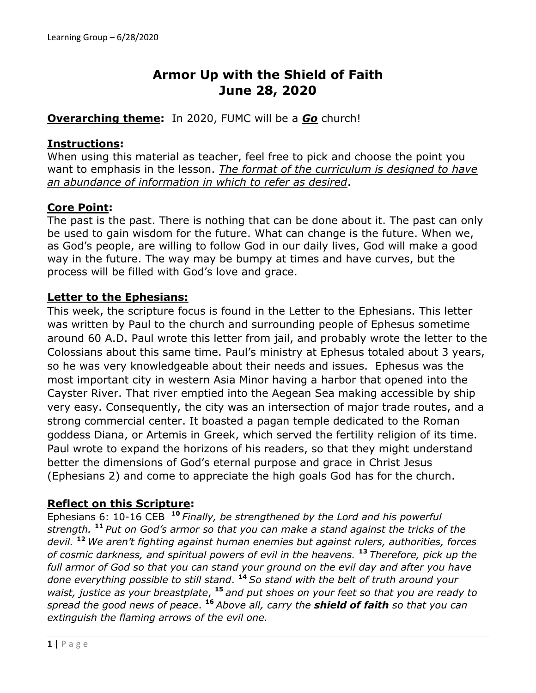# **Armor Up with the Shield of Faith June 28, 2020**

## **Overarching theme:** In 2020, FUMC will be a *Go* church!

## **Instructions:**

When using this material as teacher, feel free to pick and choose the point you want to emphasis in the lesson. *The format of the curriculum is designed to have an abundance of information in which to refer as desired*.

## **Core Point:**

The past is the past. There is nothing that can be done about it. The past can only be used to gain wisdom for the future. What can change is the future. When we, as God's people, are willing to follow God in our daily lives, God will make a good way in the future. The way may be bumpy at times and have curves, but the process will be filled with God's love and grace.

#### **Letter to the Ephesians:**

This week, the scripture focus is found in the Letter to the Ephesians. This letter was written by Paul to the church and surrounding people of Ephesus sometime around 60 A.D. Paul wrote this letter from jail, and probably wrote the letter to the Colossians about this same time. Paul's ministry at Ephesus totaled about 3 years, so he was very knowledgeable about their needs and issues. Ephesus was the most important city in western Asia Minor having a harbor that opened into the Cayster River. That river emptied into the Aegean Sea making accessible by ship very easy. Consequently, the city was an intersection of major trade routes, and a strong commercial center. It boasted a pagan temple dedicated to the Roman goddess Diana, or Artemis in Greek, which served the fertility religion of its time. Paul wrote to expand the horizons of his readers, so that they might understand better the dimensions of God's eternal purpose and grace in Christ Jesus (Ephesians 2) and come to appreciate the high goals God has for the church.

## **Reflect on this Scripture:**

Ephesians 6: 10-16 CEB **<sup>10</sup>** *Finally, be strengthened by the Lord and his powerful strength.* **<sup>11</sup>** *Put on God's armor so that you can make a stand against the tricks of the devil.* **<sup>12</sup>** *We aren't fighting against human enemies but against rulers, authorities, forces of cosmic darkness, and spiritual powers of evil in the heavens.* **<sup>13</sup>** *Therefore, pick up the full armor of God so that you can stand your ground on the evil day and after you have done everything possible to still stand*. **<sup>14</sup>** *So stand with the belt of truth around your waist, justice as your breastplate*, **<sup>15</sup>** *and put shoes on your feet so that you are ready to spread the good news of peace*. **<sup>16</sup>** *Above all, carry the shield of faith so that you can extinguish the flaming arrows of the evil one.*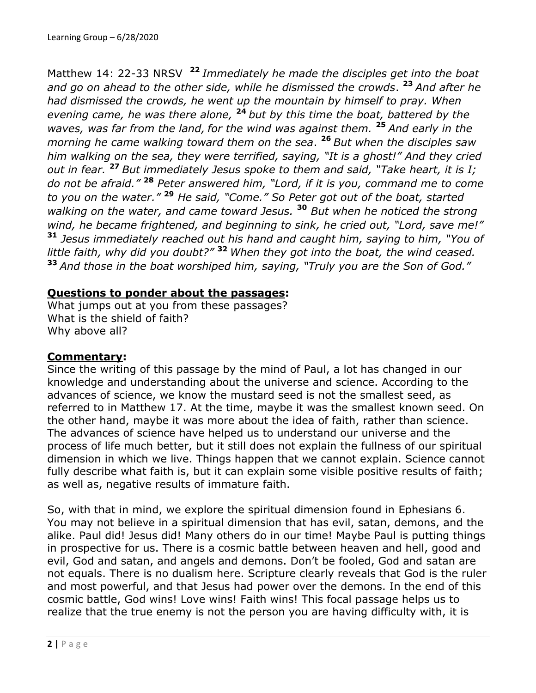Matthew 14: 22-33 NRSV **<sup>22</sup>** *Immediately he made the disciples get into the boat and go on ahead to the other side, while he dismissed the crowds*. **<sup>23</sup>** *And after he had dismissed the crowds, he went up the mountain by himself to pray. When evening came, he was there alone,* **<sup>24</sup>** *but by this time the boat, battered by the waves, was far from the land, for the wind was against them.* **<sup>25</sup>** *And early in the morning he came walking toward them on the sea*. **<sup>26</sup>** *But when the disciples saw him walking on the sea, they were terrified, saying, "It is a ghost!" And they cried out in fear.* **<sup>27</sup>** *But immediately Jesus spoke to them and said, "Take heart, it is I; do not be afraid."* **<sup>28</sup>** *Peter answered him, "Lord, if it is you, command me to come to you on the water."* **<sup>29</sup>** *He said, "Come." So Peter got out of the boat, started walking on the water, and came toward Jesus.* **<sup>30</sup>** *But when he noticed the strong wind, he became frightened, and beginning to sink, he cried out, "Lord, save me!"* **<sup>31</sup>** *Jesus immediately reached out his hand and caught him, saying to him, "You of little faith, why did you doubt?"* **<sup>32</sup>** *When they got into the boat, the wind ceased.* **<sup>33</sup>** *And those in the boat worshiped him, saying, "Truly you are the Son of God."*

## **Questions to ponder about the passages:**

What jumps out at you from these passages? What is the shield of faith? Why above all?

## **Commentary:**

Since the writing of this passage by the mind of Paul, a lot has changed in our knowledge and understanding about the universe and science. According to the advances of science, we know the mustard seed is not the smallest seed, as referred to in Matthew 17. At the time, maybe it was the smallest known seed. On the other hand, maybe it was more about the idea of faith, rather than science. The advances of science have helped us to understand our universe and the process of life much better, but it still does not explain the fullness of our spiritual dimension in which we live. Things happen that we cannot explain. Science cannot fully describe what faith is, but it can explain some visible positive results of faith; as well as, negative results of immature faith.

So, with that in mind, we explore the spiritual dimension found in Ephesians 6. You may not believe in a spiritual dimension that has evil, satan, demons, and the alike. Paul did! Jesus did! Many others do in our time! Maybe Paul is putting things in prospective for us. There is a cosmic battle between heaven and hell, good and evil, God and satan, and angels and demons. Don't be fooled, God and satan are not equals. There is no dualism here. Scripture clearly reveals that God is the ruler and most powerful, and that Jesus had power over the demons. In the end of this cosmic battle, God wins! Love wins! Faith wins! This focal passage helps us to realize that the true enemy is not the person you are having difficulty with, it is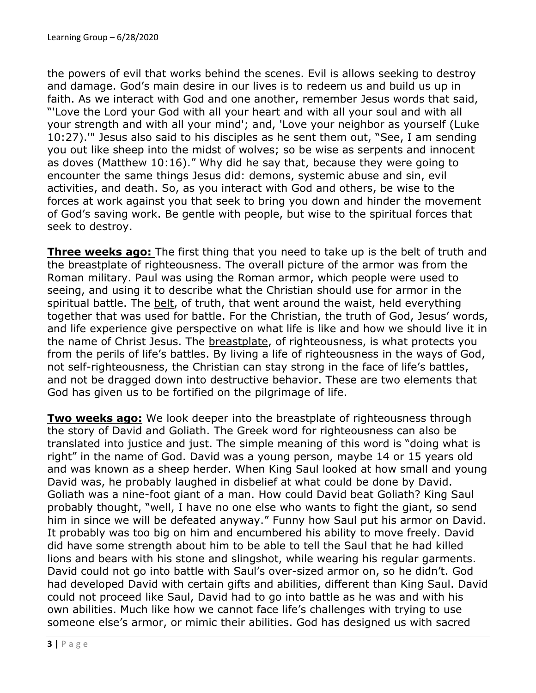the powers of evil that works behind the scenes. Evil is allows seeking to destroy and damage. God's main desire in our lives is to redeem us and build us up in faith. As we interact with God and one another, remember Jesus words that said, "'Love the Lord your God with all your heart and with all your soul and with all your strength and with all your mind'; and, 'Love your neighbor as yourself (Luke 10:27).'" Jesus also said to his disciples as he sent them out, "See, I am sending you out like sheep into the midst of wolves; so be wise as serpents and innocent as doves (Matthew 10:16)." Why did he say that, because they were going to encounter the same things Jesus did: demons, systemic abuse and sin, evil activities, and death. So, as you interact with God and others, be wise to the forces at work against you that seek to bring you down and hinder the movement of God's saving work. Be gentle with people, but wise to the spiritual forces that seek to destroy.

**Three weeks ago:** The first thing that you need to take up is the belt of truth and the breastplate of righteousness. The overall picture of the armor was from the Roman military. Paul was using the Roman armor, which people were used to seeing, and using it to describe what the Christian should use for armor in the spiritual battle. The belt, of truth, that went around the waist, held everything together that was used for battle. For the Christian, the truth of God, Jesus' words, and life experience give perspective on what life is like and how we should live it in the name of Christ Jesus. The breastplate, of righteousness, is what protects you from the perils of life's battles. By living a life of righteousness in the ways of God, not self-righteousness, the Christian can stay strong in the face of life's battles, and not be dragged down into destructive behavior. These are two elements that God has given us to be fortified on the pilgrimage of life.

**Two weeks ago:** We look deeper into the breastplate of righteousness through the story of David and Goliath. The Greek word for righteousness can also be translated into justice and just. The simple meaning of this word is "doing what is right" in the name of God. David was a young person, maybe 14 or 15 years old and was known as a sheep herder. When King Saul looked at how small and young David was, he probably laughed in disbelief at what could be done by David. Goliath was a nine-foot giant of a man. How could David beat Goliath? King Saul probably thought, "well, I have no one else who wants to fight the giant, so send him in since we will be defeated anyway." Funny how Saul put his armor on David. It probably was too big on him and encumbered his ability to move freely. David did have some strength about him to be able to tell the Saul that he had killed lions and bears with his stone and slingshot, while wearing his regular garments. David could not go into battle with Saul's over-sized armor on, so he didn't. God had developed David with certain gifts and abilities, different than King Saul. David could not proceed like Saul, David had to go into battle as he was and with his own abilities. Much like how we cannot face life's challenges with trying to use someone else's armor, or mimic their abilities. God has designed us with sacred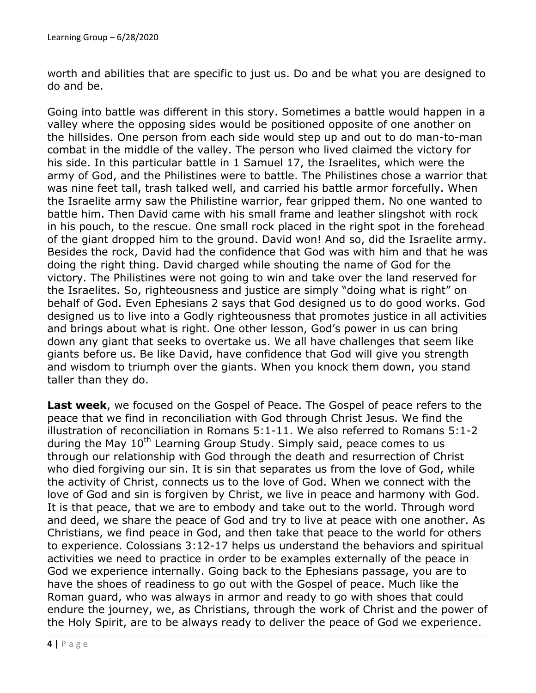worth and abilities that are specific to just us. Do and be what you are designed to do and be.

Going into battle was different in this story. Sometimes a battle would happen in a valley where the opposing sides would be positioned opposite of one another on the hillsides. One person from each side would step up and out to do man-to-man combat in the middle of the valley. The person who lived claimed the victory for his side. In this particular battle in 1 Samuel 17, the Israelites, which were the army of God, and the Philistines were to battle. The Philistines chose a warrior that was nine feet tall, trash talked well, and carried his battle armor forcefully. When the Israelite army saw the Philistine warrior, fear gripped them. No one wanted to battle him. Then David came with his small frame and leather slingshot with rock in his pouch, to the rescue. One small rock placed in the right spot in the forehead of the giant dropped him to the ground. David won! And so, did the Israelite army. Besides the rock, David had the confidence that God was with him and that he was doing the right thing. David charged while shouting the name of God for the victory. The Philistines were not going to win and take over the land reserved for the Israelites. So, righteousness and justice are simply "doing what is right" on behalf of God. Even Ephesians 2 says that God designed us to do good works. God designed us to live into a Godly righteousness that promotes justice in all activities and brings about what is right. One other lesson, God's power in us can bring down any giant that seeks to overtake us. We all have challenges that seem like giants before us. Be like David, have confidence that God will give you strength and wisdom to triumph over the giants. When you knock them down, you stand taller than they do.

**Last week**, we focused on the Gospel of Peace. The Gospel of peace refers to the peace that we find in reconciliation with God through Christ Jesus. We find the illustration of reconciliation in Romans 5:1-11. We also referred to Romans 5:1-2 during the May  $10<sup>th</sup>$  Learning Group Study. Simply said, peace comes to us through our relationship with God through the death and resurrection of Christ who died forgiving our sin. It is sin that separates us from the love of God, while the activity of Christ, connects us to the love of God. When we connect with the love of God and sin is forgiven by Christ, we live in peace and harmony with God. It is that peace, that we are to embody and take out to the world. Through word and deed, we share the peace of God and try to live at peace with one another. As Christians, we find peace in God, and then take that peace to the world for others to experience. Colossians 3:12-17 helps us understand the behaviors and spiritual activities we need to practice in order to be examples externally of the peace in God we experience internally. Going back to the Ephesians passage, you are to have the shoes of readiness to go out with the Gospel of peace. Much like the Roman guard, who was always in armor and ready to go with shoes that could endure the journey, we, as Christians, through the work of Christ and the power of the Holy Spirit, are to be always ready to deliver the peace of God we experience.